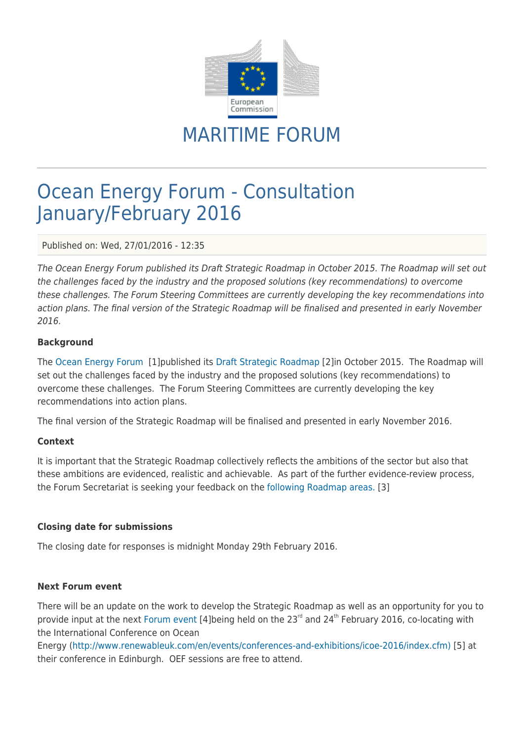

MARITIME FORUM

# Ocean Energy Forum - Consultation January/February 2016

Published on: Wed, 27/01/2016 - 12:35

The Ocean Energy Forum published its Draft Strategic Roadmap in October 2015. The Roadmap will set out the challenges faced by the industry and the proposed solutions (key recommendations) to overcome these challenges. The Forum Steering Committees are currently developing the key recommendations into action plans. The final version of the Strategic Roadmap will be finalised and presented in early November 2016.

### **Background**

The [Ocean Energy Forum](https://webgate.ec.europa.eu/maritimeforum/en/frontpage/1036) [1]published its [Draft Strategic Roadmap](https://webgate.ec.europa.eu/maritimeforum/system/files/OceanEnergyForum-report-v5.2_12-10-15_FINAL%20DRAFT.pdf) [2]in October 2015. The Roadmap will set out the challenges faced by the industry and the proposed solutions (key recommendations) to overcome these challenges. The Forum Steering Committees are currently developing the key recommendations into action plans.

The final version of the Strategic Roadmap will be finalised and presented in early November 2016.

#### **Context**

It is important that the Strategic Roadmap collectively reflects the ambitions of the sector but also that these ambitions are evidenced, realistic and achievable. As part of the further evidence-review process, the Forum Secretariat is seeking your feedback on the [following Roadmap areas.](https://ec.europa.eu/eusurvey/runner/OceanEnergyForumRoadmapConsulation) [3]

#### **Closing date for submissions**

The closing date for responses is midnight Monday 29th February 2016.

#### **Next Forum event**

There will be an update on the work to develop the Strategic Roadmap as well as an opportunity for you to provide input at the next [Forum event \[](https://webgate.ec.europa.eu/maritimeforum/en/node/3870)4]being held on the 23<sup>rd</sup> and 24<sup>th</sup> February 2016, co-locating with the International Conference on Ocean

Energy [\(http://www.renewableuk.com/en/events/conferences-and-exhibitions/icoe-2016/index.cfm\)](http://www.renewableuk.com/en/events/conferences-and-exhibitions/icoe-2016/index.cfm) [5] at their conference in Edinburgh. OEF sessions are free to attend.